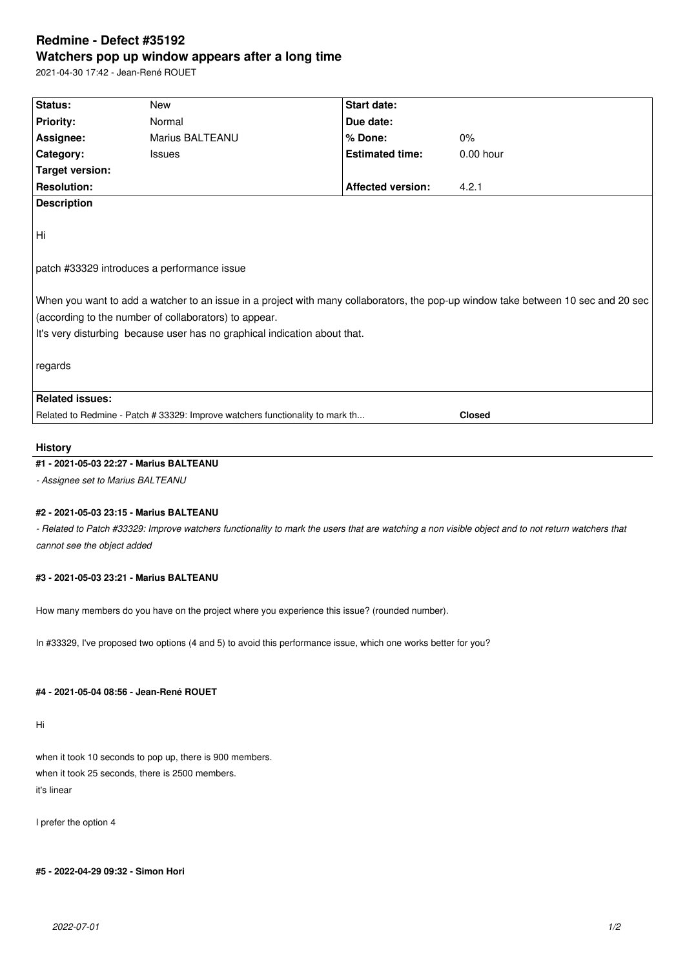# **Redmine - Defect #35192 Watchers pop up window appears after a long time**

2021-04-30 17:42 - Jean-René ROUET

| Status:                                                                                                                           | <b>New</b>                                                                    | Start date:              |               |
|-----------------------------------------------------------------------------------------------------------------------------------|-------------------------------------------------------------------------------|--------------------------|---------------|
| <b>Priority:</b>                                                                                                                  | Normal                                                                        | Due date:                |               |
| Assignee:                                                                                                                         | Marius BALTEANU                                                               | % Done:                  | $0\%$         |
| <b>Category:</b>                                                                                                                  | <b>Issues</b>                                                                 | <b>Estimated time:</b>   | $0.00$ hour   |
| <b>Target version:</b>                                                                                                            |                                                                               |                          |               |
| <b>Resolution:</b>                                                                                                                |                                                                               | <b>Affected version:</b> | 4.2.1         |
| <b>Description</b>                                                                                                                |                                                                               |                          |               |
|                                                                                                                                   |                                                                               |                          |               |
| Hi                                                                                                                                |                                                                               |                          |               |
|                                                                                                                                   |                                                                               |                          |               |
| patch #33329 introduces a performance issue                                                                                       |                                                                               |                          |               |
|                                                                                                                                   |                                                                               |                          |               |
| When you want to add a watcher to an issue in a project with many collaborators, the pop-up window take between 10 sec and 20 sec |                                                                               |                          |               |
| (according to the number of collaborators) to appear.                                                                             |                                                                               |                          |               |
| It's very disturbing because user has no graphical indication about that.                                                         |                                                                               |                          |               |
|                                                                                                                                   |                                                                               |                          |               |
| regards                                                                                                                           |                                                                               |                          |               |
|                                                                                                                                   |                                                                               |                          |               |
| <b>Related issues:</b>                                                                                                            |                                                                               |                          |               |
|                                                                                                                                   | Related to Redmine - Patch # 33329: Improve watchers functionality to mark th |                          | <b>Closed</b> |

## **History**

### **#1 - 2021-05-03 22:27 - Marius BALTEANU**

*- Assignee set to Marius BALTEANU*

#### **#2 - 2021-05-03 23:15 - Marius BALTEANU**

*- Related to Patch #33329: Improve watchers functionality to mark the users that are watching a non visible object and to not return watchers that cannot see the object added*

#### **#3 - 2021-05-03 23:21 - Marius BALTEANU**

How many members do you have on the project where you experience this issue? (rounded number).

In #33329, I've proposed two options (4 and 5) to avoid this performance issue, which one works better for you?

#### **#4 - 2021-05-04 08:56 - Jean-René ROUET**

Hi

when it took 10 seconds to pop up, there is 900 members. when it took 25 seconds, there is 2500 members. it's linear

I prefer the option 4

**#5 - 2022-04-29 09:32 - Simon Hori**